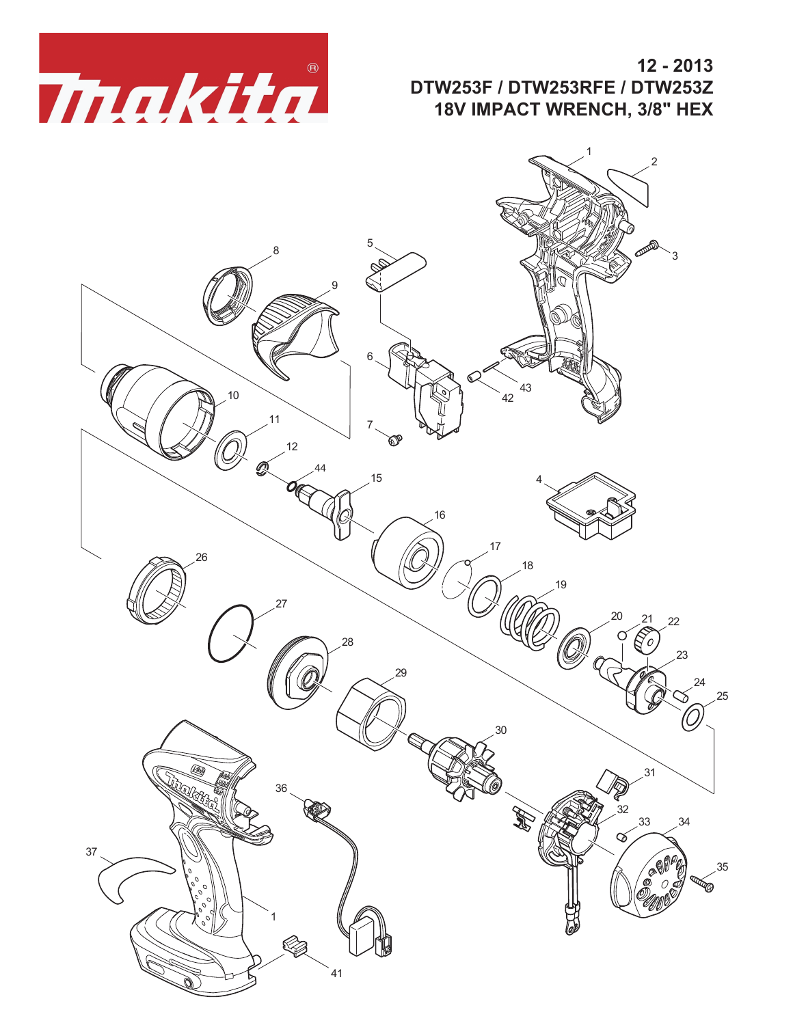

**12 - 2013 DTW253F / DTW253RFE / DTW253Z 18V IMPACT WRENCH, 3/8" HEX**

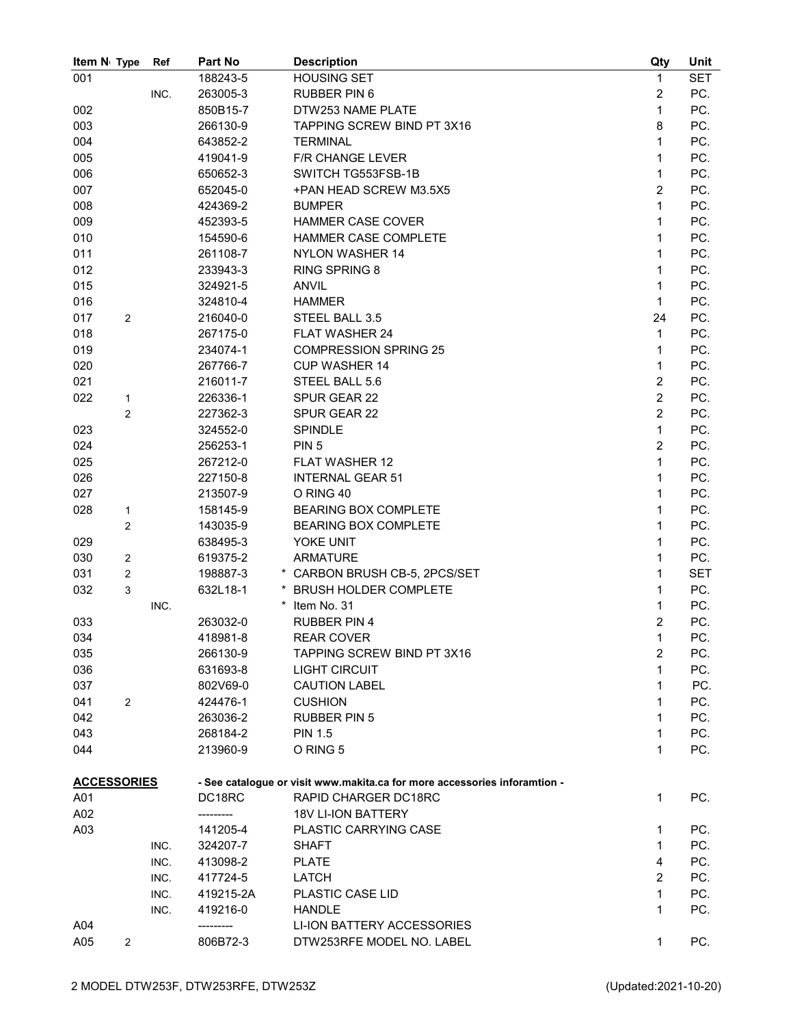| Item N <sub>1</sub> Type |                | Ref  | Part No   | <b>Description</b>                                                        | Qty            | Unit       |
|--------------------------|----------------|------|-----------|---------------------------------------------------------------------------|----------------|------------|
| 001                      |                |      | 188243-5  | <b>HOUSING SET</b>                                                        | 1              | <b>SET</b> |
|                          |                | INC. | 263005-3  | <b>RUBBER PIN 6</b>                                                       | $\overline{c}$ | PC.        |
| 002                      |                |      | 850B15-7  | DTW253 NAME PLATE                                                         | $\mathbf{1}$   | PC.        |
| 003                      |                |      | 266130-9  | TAPPING SCREW BIND PT 3X16                                                | 8              | PC.        |
| 004                      |                |      | 643852-2  | <b>TERMINAL</b>                                                           | $\mathbf{1}$   | PC.        |
| 005                      |                |      | 419041-9  | <b>F/R CHANGE LEVER</b>                                                   | 1              | PC.        |
| 006                      |                |      | 650652-3  | SWITCH TG553FSB-1B                                                        | 1              | PC.        |
| 007                      |                |      | 652045-0  | +PAN HEAD SCREW M3.5X5                                                    | 2              | PC.        |
| 008                      |                |      | 424369-2  | <b>BUMPER</b>                                                             | $\mathbf{1}$   | PC.        |
| 009                      |                |      | 452393-5  | <b>HAMMER CASE COVER</b>                                                  | 1              | PC.        |
| 010                      |                |      | 154590-6  | HAMMER CASE COMPLETE                                                      | 1              | PC.        |
| 011                      |                |      | 261108-7  | <b>NYLON WASHER 14</b>                                                    | 1              | PC.        |
| 012                      |                |      | 233943-3  | <b>RING SPRING 8</b>                                                      | 1              | PC.        |
| 015                      |                |      | 324921-5  | <b>ANVIL</b>                                                              | 1              | PC.        |
| 016                      |                |      | 324810-4  | <b>HAMMER</b>                                                             | 1              | PC.        |
| 017                      | 2              |      | 216040-0  | STEEL BALL 3.5                                                            | 24             | PC.        |
| 018                      |                |      | 267175-0  | <b>FLAT WASHER 24</b>                                                     | $\mathbf{1}$   | PC.        |
| 019                      |                |      | 234074-1  | <b>COMPRESSION SPRING 25</b>                                              | 1              | PC.        |
| 020                      |                |      | 267766-7  | <b>CUP WASHER 14</b>                                                      | 1              | PC.        |
| 021                      |                |      | 216011-7  | STEEL BALL 5.6                                                            | $\overline{c}$ | PC.        |
| 022                      | 1              |      | 226336-1  | SPUR GEAR 22                                                              | $\overline{2}$ | PC.        |
|                          | 2              |      | 227362-3  | SPUR GEAR 22                                                              | $\overline{c}$ | PC.        |
| 023                      |                |      | 324552-0  | <b>SPINDLE</b>                                                            | $\mathbf{1}$   | PC.        |
| 024                      |                |      | 256253-1  | PIN <sub>5</sub>                                                          | $\overline{c}$ | PC.        |
| 025                      |                |      | 267212-0  | <b>FLAT WASHER 12</b>                                                     | $\mathbf{1}$   | PC.        |
| 026                      |                |      | 227150-8  | <b>INTERNAL GEAR 51</b>                                                   | 1              | PC.        |
| 027                      |                |      | 213507-9  | O RING 40                                                                 | 1              | PC.        |
| 028                      | 1              |      | 158145-9  | <b>BEARING BOX COMPLETE</b>                                               | 1              | PC.        |
|                          | 2              |      | 143035-9  | <b>BEARING BOX COMPLETE</b>                                               | 1              | PC.        |
| 029                      |                |      | 638495-3  | YOKE UNIT                                                                 | 1              | PC.        |
| 030                      | 2              |      | 619375-2  | <b>ARMATURE</b>                                                           | 1              | PC.        |
| 031                      | $\overline{2}$ |      | 198887-3  | * CARBON BRUSH CB-5, 2PCS/SET                                             | $\mathbf{1}$   | <b>SET</b> |
| 032                      |                |      | 632L18-1  | <b>BRUSH HOLDER COMPLETE</b>                                              | 1              | PC.        |
|                          | 3              |      |           | $^\star$                                                                  | 1              |            |
| 033                      |                | INC. |           | Item No. 31                                                               | $\overline{c}$ | PC.        |
|                          |                |      | 263032-0  | <b>RUBBER PIN 4</b>                                                       |                | PC.        |
| 034                      |                |      | 418981-8  | <b>REAR COVER</b><br>TAPPING SCREW BIND PT 3X16                           | 1              | PC.        |
| 035                      |                |      | 266130-9  |                                                                           | $\overline{c}$ | PC.        |
| 036                      |                |      | 631693-8  | <b>LIGHT CIRCUIT</b>                                                      | 1              | PC.        |
| 037                      |                |      | 802V69-0  | <b>CAUTION LABEL</b>                                                      | 1              | PC.        |
| 041                      | $\overline{2}$ |      | 424476-1  | <b>CUSHION</b>                                                            | 1              | PC.        |
| 042                      |                |      | 263036-2  | <b>RUBBER PIN 5</b>                                                       | 1              | PC.        |
| 043                      |                |      | 268184-2  | <b>PIN 1.5</b>                                                            | 1              | PC.        |
| 044                      |                |      | 213960-9  | O RING 5                                                                  | 1              | PC.        |
|                          |                |      |           |                                                                           |                |            |
| <b>ACCESSORIES</b>       |                |      |           | - See catalogue or visit www.makita.ca for more accessories inforamtion - |                |            |
| A01                      |                |      | DC18RC    | RAPID CHARGER DC18RC                                                      | $\mathbf{1}$   | PC.        |
| A02                      |                |      |           | <b>18V LI-ION BATTERY</b>                                                 |                |            |
| A03                      |                |      | 141205-4  | PLASTIC CARRYING CASE                                                     | 1              | PC.        |
|                          |                | INC. | 324207-7  | <b>SHAFT</b>                                                              | $\mathbf{1}$   | PC.        |
|                          |                | INC. | 413098-2  | <b>PLATE</b>                                                              | 4              | PC.        |
|                          |                | INC. | 417724-5  | LATCH                                                                     | 2              | PC.        |
|                          |                | INC. | 419215-2A | PLASTIC CASE LID                                                          | 1              | PC.        |
|                          |                | INC. | 419216-0  | <b>HANDLE</b>                                                             | 1              | PC.        |
| A04                      |                |      | --------- | LI-ION BATTERY ACCESSORIES                                                |                |            |
| A05                      | $\overline{2}$ |      | 806B72-3  | DTW253RFE MODEL NO. LABEL                                                 | 1              | PC.        |